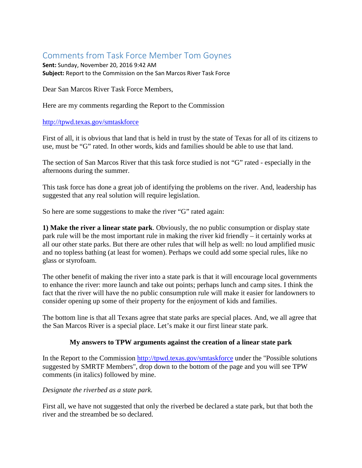# Comments from Task Force Member Tom Goynes

**Sent:** Sunday, November 20, 2016 9:42 AM **Subject:** Report to the Commission on the San Marcos River Task Force

Dear San Marcos River Task Force Members,

Here are my comments regarding the Report to the Commission

## <http://tpwd.texas.gov/smtaskforce>

First of all, it is obvious that land that is held in trust by the state of Texas for all of its citizens to use, must be "G" rated. In other words, kids and families should be able to use that land.

The section of San Marcos River that this task force studied is not "G" rated - especially in the afternoons during the summer.

This task force has done a great job of identifying the problems on the river. And, leadership has suggested that any real solution will require legislation.

So here are some suggestions to make the river "G" rated again:

**1) Make the river a linear state park**. Obviously, the no public consumption or display state park rule will be the most important rule in making the river kid friendly – it certainly works at all our other state parks. But there are other rules that will help as well: no loud amplified music and no topless bathing (at least for women). Perhaps we could add some special rules, like no glass or styrofoam.

The other benefit of making the river into a state park is that it will encourage local governments to enhance the river: more launch and take out points; perhaps lunch and camp sites. I think the fact that the river will have the no public consumption rule will make it easier for landowners to consider opening up some of their property for the enjoyment of kids and families.

The bottom line is that all Texans agree that state parks are special places. And, we all agree that the San Marcos River is a special place. Let's make it our first linear state park.

### **My answers to TPW arguments against the creation of a linear state park**

In the Report to the Commission<http://tpwd.texas.gov/smtaskforce> under the "Possible solutions suggested by SMRTF Members", drop down to the bottom of the page and you will see TPW comments (in italics) followed by mine.

### *Designate the riverbed as a state park.*

First all, we have not suggested that only the riverbed be declared a state park, but that both the river and the streambed be so declared.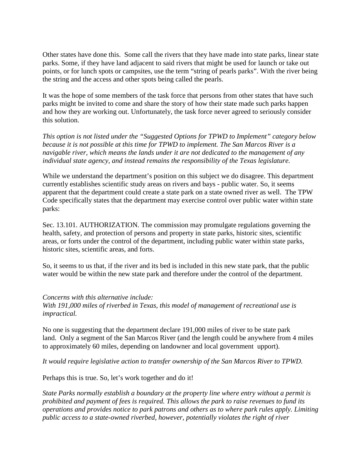Other states have done this. Some call the rivers that they have made into state parks, linear state parks. Some, if they have land adjacent to said rivers that might be used for launch or take out points, or for lunch spots or campsites, use the term "string of pearls parks". With the river being the string and the access and other spots being called the pearls.

It was the hope of some members of the task force that persons from other states that have such parks might be invited to come and share the story of how their state made such parks happen and how they are working out. Unfortunately, the task force never agreed to seriously consider this solution.

*This option is not listed under the "Suggested Options for TPWD to Implement" category below because it is not possible at this time for TPWD to implement. The San Marcos River is a navigable river, which means the lands under it are not dedicated to the management of any individual state agency, and instead remains the responsibility of the Texas legislature.*

While we understand the department's position on this subject we do disagree. This department currently establishes scientific study areas on rivers and bays - public water. So, it seems apparent that the department could create a state park on a state owned river as well. The TPW Code specifically states that the department may exercise control over public water within state parks:

Sec. 13.101. AUTHORIZATION. The commission may promulgate regulations governing the health, safety, and protection of persons and property in state parks, historic sites, scientific areas, or forts under the control of the department, including public water within state parks, historic sites, scientific areas, and forts.

So, it seems to us that, if the river and its bed is included in this new state park, that the public water would be within the new state park and therefore under the control of the department.

#### *Concerns with this alternative include:*

*With 191,000 miles of riverbed in Texas, this model of management of recreational use is impractical.*

No one is suggesting that the department declare 191,000 miles of river to be state park land. Only a segment of the San Marcos River (and the length could be anywhere from 4 miles to approximately 60 miles, depending on landowner and local government upport).

*It would require legislative action to transfer ownership of the San Marcos River to TPWD.*

Perhaps this is true. So, let's work together and do it!

*State Parks normally establish a boundary at the property line where entry without a permit is prohibited and payment of fees is required. This allows the park to raise revenues to fund its operations and provides notice to park patrons and others as to where park rules apply. Limiting public access to a state-owned riverbed, however, potentially violates the right of river*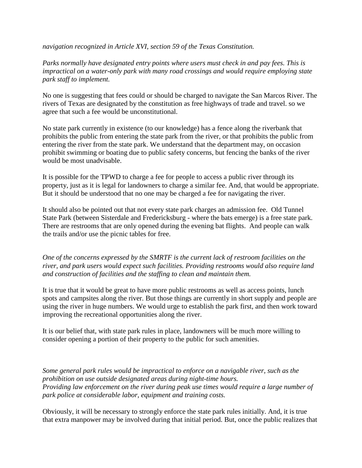*navigation recognized in Article XVI, section 59 of the Texas Constitution.*

*Parks normally have designated entry points where users must check in and pay fees. This is impractical on a water-only park with many road crossings and would require employing state park staff to implement.*

No one is suggesting that fees could or should be charged to navigate the San Marcos River. The rivers of Texas are designated by the constitution as free highways of trade and travel. so we agree that such a fee would be unconstitutional.

No state park currently in existence (to our knowledge) has a fence along the riverbank that prohibits the public from entering the state park from the river, or that prohibits the public from entering the river from the state park. We understand that the department may, on occasion prohibit swimming or boating due to public safety concerns, but fencing the banks of the river would be most unadvisable.

It is possible for the TPWD to charge a fee for people to access a public river through its property, just as it is legal for landowners to charge a similar fee. And, that would be appropriate. But it should be understood that no one may be charged a fee for navigating the river.

It should also be pointed out that not every state park charges an admission fee. Old Tunnel State Park (between Sisterdale and Fredericksburg - where the bats emerge) is a free state park. There are restrooms that are only opened during the evening bat flights. And people can walk the trails and/or use the picnic tables for free.

*One of the concerns expressed by the SMRTF is the current lack of restroom facilities on the river, and park users would expect such facilities. Providing restrooms would also require land and construction of facilities and the staffing to clean and maintain them.*

It is true that it would be great to have more public restrooms as well as access points, lunch spots and campsites along the river. But those things are currently in short supply and people are using the river in huge numbers. We would urge to establish the park first, and then work toward improving the recreational opportunities along the river.

It is our belief that, with state park rules in place, landowners will be much more willing to consider opening a portion of their property to the public for such amenities.

*Some general park rules would be impractical to enforce on a navigable river, such as the prohibition on use outside designated areas during night-time hours. Providing law enforcement on the river during peak use times would require a large number of park police at considerable labor, equipment and training costs.*

Obviously, it will be necessary to strongly enforce the state park rules initially. And, it is true that extra manpower may be involved during that initial period. But, once the public realizes that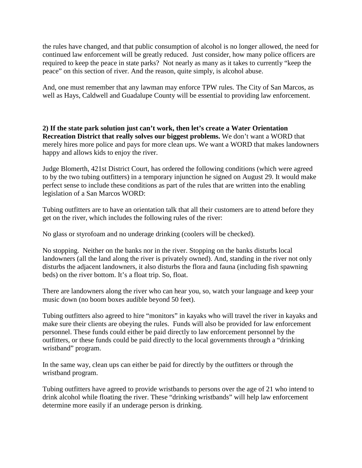the rules have changed, and that public consumption of alcohol is no longer allowed, the need for continued law enforcement will be greatly reduced. Just consider, how many police officers are required to keep the peace in state parks? Not nearly as many as it takes to currently "keep the peace" on this section of river. And the reason, quite simply, is alcohol abuse.

And, one must remember that any lawman may enforce TPW rules. The City of San Marcos, as well as Hays, Caldwell and Guadalupe County will be essential to providing law enforcement.

**2) If the state park solution just can't work, then let's create a Water Orientation Recreation District that really solves our biggest problems.** We don't want a WORD that merely hires more police and pays for more clean ups. We want a WORD that makes landowners happy and allows kids to enjoy the river.

Judge Blomerth, 421st District Court, has ordered the following conditions (which were agreed to by the two tubing outfitters) in a temporary injunction he signed on August 29. It would make perfect sense to include these conditions as part of the rules that are written into the enabling legislation of a San Marcos WORD:

Tubing outfitters are to have an orientation talk that all their customers are to attend before they get on the river, which includes the following rules of the river:

No glass or styrofoam and no underage drinking (coolers will be checked).

No stopping. Neither on the banks nor in the river. Stopping on the banks disturbs local landowners (all the land along the river is privately owned). And, standing in the river not only disturbs the adjacent landowners, it also disturbs the flora and fauna (including fish spawning beds) on the river bottom. It's a float trip. So, float.

There are landowners along the river who can hear you, so, watch your language and keep your music down (no boom boxes audible beyond 50 feet).

Tubing outfitters also agreed to hire "monitors" in kayaks who will travel the river in kayaks and make sure their clients are obeying the rules. Funds will also be provided for law enforcement personnel. These funds could either be paid directly to law enforcement personnel by the outfitters, or these funds could be paid directly to the local governments through a "drinking wristband" program.

In the same way, clean ups can either be paid for directly by the outfitters or through the wristband program.

Tubing outfitters have agreed to provide wristbands to persons over the age of 21 who intend to drink alcohol while floating the river. These "drinking wristbands" will help law enforcement determine more easily if an underage person is drinking.